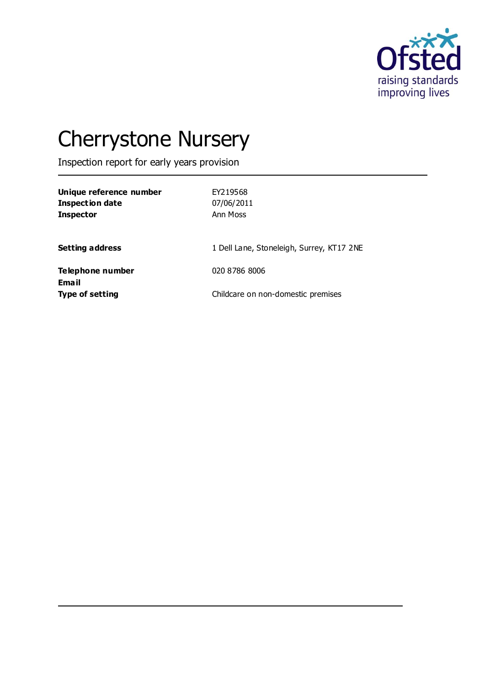

# Cherrystone Nursery

Inspection report for early years provision

| Unique reference number<br><b>Inspection date</b><br><b>Inspector</b> | EY219568<br>07/06/2011<br>Ann Moss        |
|-----------------------------------------------------------------------|-------------------------------------------|
| <b>Setting address</b>                                                | 1 Dell Lane, Stoneleigh, Surrey, KT17 2NE |
| Telephone number                                                      | 020 8786 8006                             |
| <b>Email</b><br><b>Type of setting</b>                                | Childcare on non-domestic premises        |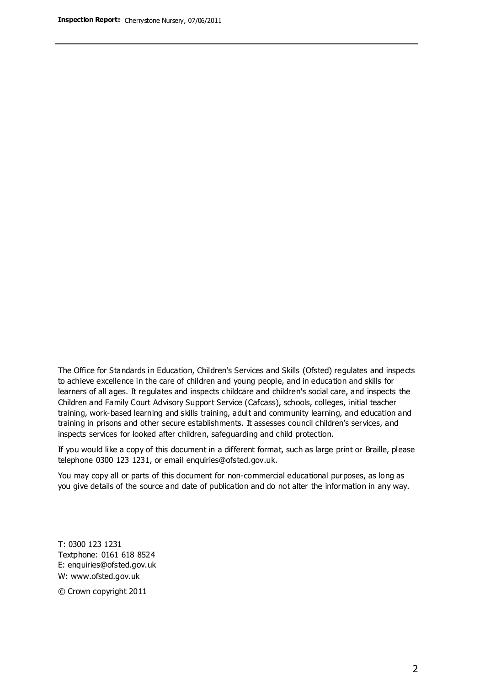The Office for Standards in Education, Children's Services and Skills (Ofsted) regulates and inspects to achieve excellence in the care of children and young people, and in education and skills for learners of all ages. It regulates and inspects childcare and children's social care, and inspects the Children and Family Court Advisory Support Service (Cafcass), schools, colleges, initial teacher training, work-based learning and skills training, adult and community learning, and education and training in prisons and other secure establishments. It assesses council children's services, and inspects services for looked after children, safeguarding and child protection.

If you would like a copy of this document in a different format, such as large print or Braille, please telephone 0300 123 1231, or email enquiries@ofsted.gov.uk.

You may copy all or parts of this document for non-commercial educational purposes, as long as you give details of the source and date of publication and do not alter the information in any way.

T: 0300 123 1231 Textphone: 0161 618 8524 E: enquiries@ofsted.gov.uk W: [www.ofsted.gov.uk](http://www.ofsted.gov.uk/)

© Crown copyright 2011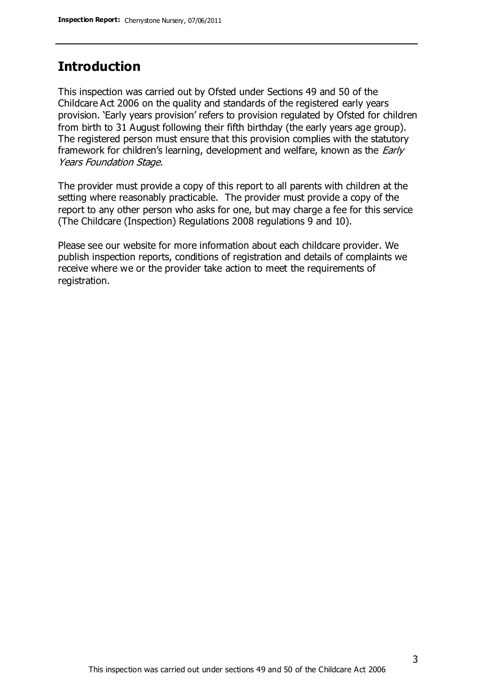## **Introduction**

This inspection was carried out by Ofsted under Sections 49 and 50 of the Childcare Act 2006 on the quality and standards of the registered early years provision. 'Early years provision' refers to provision regulated by Ofsted for children from birth to 31 August following their fifth birthday (the early years age group). The registered person must ensure that this provision complies with the statutory framework for children's learning, development and welfare, known as the *Early* Years Foundation Stage.

The provider must provide a copy of this report to all parents with children at the setting where reasonably practicable. The provider must provide a copy of the report to any other person who asks for one, but may charge a fee for this service (The Childcare (Inspection) Regulations 2008 regulations 9 and 10).

Please see our website for more information about each childcare provider. We publish inspection reports, conditions of registration and details of complaints we receive where we or the provider take action to meet the requirements of registration.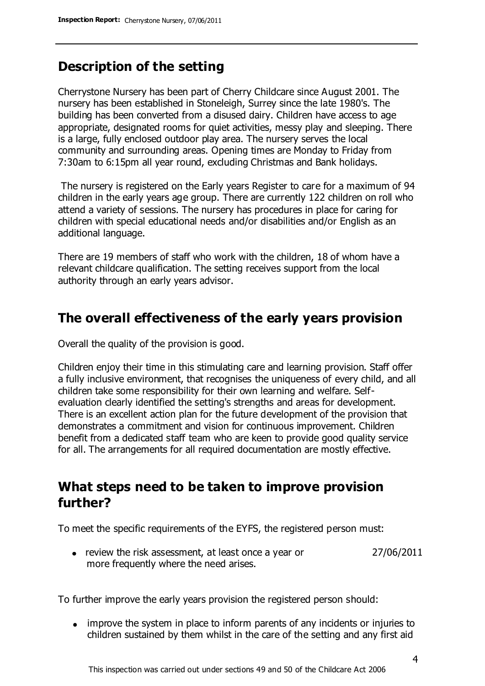## **Description of the setting**

Cherrystone Nursery has been part of Cherry Childcare since August 2001. The nursery has been established in Stoneleigh, Surrey since the late 1980's. The building has been converted from a disused dairy. Children have access to age appropriate, designated rooms for quiet activities, messy play and sleeping. There is a large, fully enclosed outdoor play area. The nursery serves the local community and surrounding areas. Opening times are Monday to Friday from 7:30am to 6:15pm all year round, excluding Christmas and Bank holidays.

The nursery is registered on the Early years Register to care for a maximum of 94 children in the early years age group. There are currently 122 children on roll who attend a variety of sessions. The nursery has procedures in place for caring for children with special educational needs and/or disabilities and/or English as an additional language.

There are 19 members of staff who work with the children, 18 of whom have a relevant childcare qualification. The setting receives support from the local authority through an early years advisor.

### **The overall effectiveness of the early years provision**

Overall the quality of the provision is good.

Children enjoy their time in this stimulating care and learning provision. Staff offer a fully inclusive environment, that recognises the uniqueness of every child, and all children take some responsibility for their own learning and welfare. Selfevaluation clearly identified the setting's strengths and areas for development. There is an excellent action plan for the future development of the provision that demonstrates a commitment and vision for continuous improvement. Children benefit from a dedicated staff team who are keen to provide good quality service for all. The arrangements for all required documentation are mostly effective.

## **What steps need to be taken to improve provision further?**

To meet the specific requirements of the EYFS, the registered person must:

review the risk assessment, at least once a year or more frequently where the need arises. 27/06/2011

To further improve the early years provision the registered person should:

improve the system in place to inform parents of any incidents or injuries to children sustained by them whilst in the care of the setting and any first aid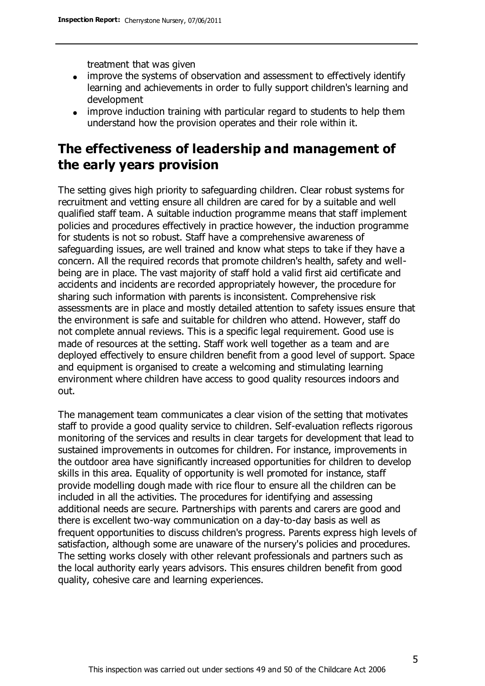treatment that was given

- improve the systems of observation and assessment to effectively identify learning and achievements in order to fully support children's learning and development
- improve induction training with particular regard to students to help them understand how the provision operates and their role within it.

## **The effectiveness of leadership and management of the early years provision**

The setting gives high priority to safeguarding children. Clear robust systems for recruitment and vetting ensure all children are cared for by a suitable and well qualified staff team. A suitable induction programme means that staff implement policies and procedures effectively in practice however, the induction programme for students is not so robust. Staff have a comprehensive awareness of safeguarding issues, are well trained and know what steps to take if they have a concern. All the required records that promote children's health, safety and wellbeing are in place. The vast majority of staff hold a valid first aid certificate and accidents and incidents are recorded appropriately however, the procedure for sharing such information with parents is inconsistent. Comprehensive risk assessments are in place and mostly detailed attention to safety issues ensure that the environment is safe and suitable for children who attend. However, staff do not complete annual reviews. This is a specific legal requirement. Good use is made of resources at the setting. Staff work well together as a team and are deployed effectively to ensure children benefit from a good level of support. Space and equipment is organised to create a welcoming and stimulating learning environment where children have access to good quality resources indoors and out.

The management team communicates a clear vision of the setting that motivates staff to provide a good quality service to children. Self-evaluation reflects rigorous monitoring of the services and results in clear targets for development that lead to sustained improvements in outcomes for children. For instance, improvements in the outdoor area have significantly increased opportunities for children to develop skills in this area. Equality of opportunity is well promoted for instance, staff provide modelling dough made with rice flour to ensure all the children can be included in all the activities. The procedures for identifying and assessing additional needs are secure. Partnerships with parents and carers are good and there is excellent two-way communication on a day-to-day basis as well as frequent opportunities to discuss children's progress. Parents express high levels of satisfaction, although some are unaware of the nursery's policies and procedures. The setting works closely with other relevant professionals and partners such as the local authority early years advisors. This ensures children benefit from good quality, cohesive care and learning experiences.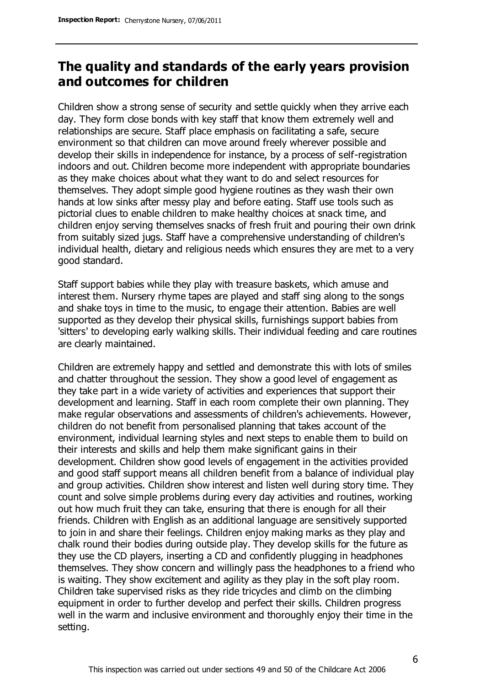## **The quality and standards of the early years provision and outcomes for children**

Children show a strong sense of security and settle quickly when they arrive each day. They form close bonds with key staff that know them extremely well and relationships are secure. Staff place emphasis on facilitating a safe, secure environment so that children can move around freely wherever possible and develop their skills in independence for instance, by a process of self-registration indoors and out. Children become more independent with appropriate boundaries as they make choices about what they want to do and select resources for themselves. They adopt simple good hygiene routines as they wash their own hands at low sinks after messy play and before eating. Staff use tools such as pictorial clues to enable children to make healthy choices at snack time, and children enjoy serving themselves snacks of fresh fruit and pouring their own drink from suitably sized jugs. Staff have a comprehensive understanding of children's individual health, dietary and religious needs which ensures they are met to a very good standard.

Staff support babies while they play with treasure baskets, which amuse and interest them. Nursery rhyme tapes are played and staff sing along to the songs and shake toys in time to the music, to engage their attention. Babies are well supported as they develop their physical skills, furnishings support babies from 'sitters' to developing early walking skills. Their individual feeding and care routines are clearly maintained.

Children are extremely happy and settled and demonstrate this with lots of smiles and chatter throughout the session. They show a good level of engagement as they take part in a wide variety of activities and experiences that support their development and learning. Staff in each room complete their own planning. They make regular observations and assessments of children's achievements. However, children do not benefit from personalised planning that takes account of the environment, individual learning styles and next steps to enable them to build on their interests and skills and help them make significant gains in their development. Children show good levels of engagement in the activities provided and good staff support means all children benefit from a balance of individual play and group activities. Children show interest and listen well during story time. They count and solve simple problems during every day activities and routines, working out how much fruit they can take, ensuring that there is enough for all their friends. Children with English as an additional language are sensitively supported to join in and share their feelings. Children enjoy making marks as they play and chalk round their bodies during outside play. They develop skills for the future as they use the CD players, inserting a CD and confidently plugging in headphones themselves. They show concern and willingly pass the headphones to a friend who is waiting. They show excitement and agility as they play in the soft play room. Children take supervised risks as they ride tricycles and climb on the climbing equipment in order to further develop and perfect their skills. Children progress well in the warm and inclusive environment and thoroughly enjoy their time in the setting.